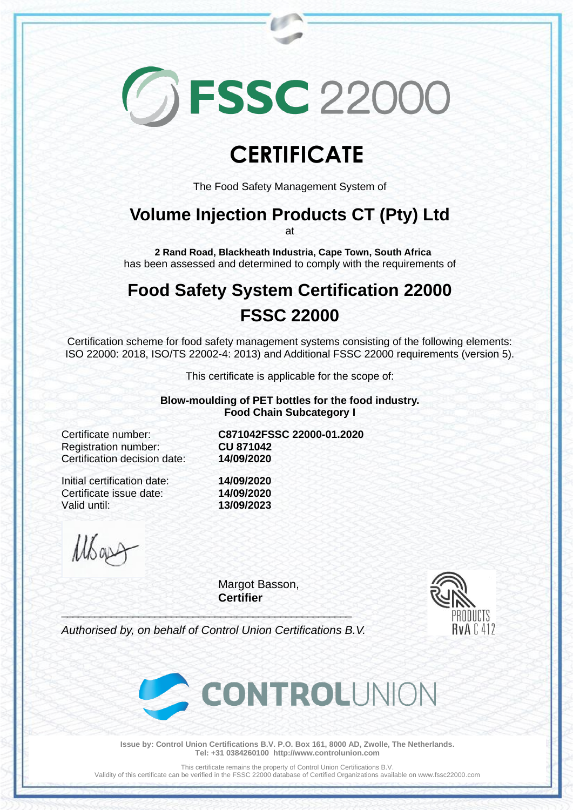# **GFSSC 22000**

## **CERTIFICATE**

The Food Safety Management System of

### **Volume Injection Products CT (Pty) Ltd**

at

**2 Rand Road, Blackheath Industria, Cape Town, South Africa** has been assessed and determined to comply with the requirements of

## **Food Safety System Certification 22000 FSSC 22000**

Certification scheme for food safety management systems consisting of the following elements: ISO 22000: 2018, ISO/TS 22002-4: 2013) and Additional FSSC 22000 requirements (version 5).

This certificate is applicable for the scope of:

**Blow-moulding of PET bottles for the food industry. Food Chain Subcategory I**

Certificate number: **C871042FSSC 22000-01.2020** Registration number: **CU 871042** Certification decision date:

Initial certification date: **14/09/2020** Certificate issue date: **14/09/2020** Valid until: **13/09/2023**

Mas

Margot Basson, **Certifier**



*Authorised by, on behalf of Control Union Certifications B.V.*

\_\_\_\_\_\_\_\_\_\_\_\_\_\_\_\_\_\_\_\_\_\_\_\_\_\_\_\_\_\_\_\_\_\_\_\_\_\_\_\_\_\_\_\_\_\_\_\_\_\_\_\_\_



**Issue by: Control Union Certifications B.V. P.O. Box 161, 8000 AD, Zwolle, The Netherlands. Tel: +31 0384260100 http://www.controlunion.com**

This certificate remains the property of Control Union Certifications B.V.

Validity of this certificate can be verified in the FSSC 22000 database of Certified Organizations available on www.fssc22000.com